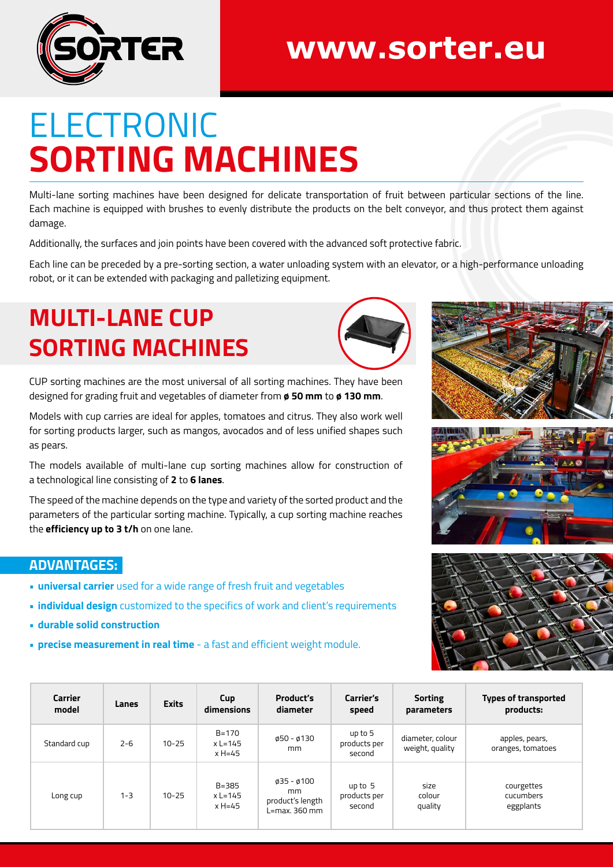

## www.sorter.eu

# ELECTRONIC **SORTING MACHINES**

Multi-lane sorting machines have been designed for delicate transportation of fruit between particular sections of the line. Each machine is equipped with brushes to evenly distribute the products on the belt conveyor, and thus protect them against damage.

Additionally, the surfaces and join points have been covered with the advanced soft protective fabric.

Each line can be preceded by a pre-sorting section, a water unloading system with an elevator, or a high-performance unloading robot, or it can be extended with packaging and palletizing equipment.

### **MULTI-LANE CUP SORTING MACHINES**



CUP sorting machines are the most universal of all sorting machines. They have been designed for grading fruit and vegetables of diameter from **ø 50 mm** to **ø 130 mm**.

Models with cup carries are ideal for apples, tomatoes and citrus. They also work well for sorting products larger, such as mangos, avocados and of less unified shapes such as pears.

The models available of multi-lane cup sorting machines allow for construction of a technological line consisting of **2** to **6 lanes**.

The speed of the machine depends on the type and variety of the sorted product and the parameters of the particular sorting machine. Typically, a cup sorting machine reaches the **efficiency up to 3 t/h** on one lane.

#### **ADVANTAGES:**

- **• universal carrier** used for a wide range of fresh fruit and vegetables
- **• individual design** customized to the specifics of work and client's requirements
- **• durable solid construction**
- **• precise measurement in real time** a fast and efficient weight module.